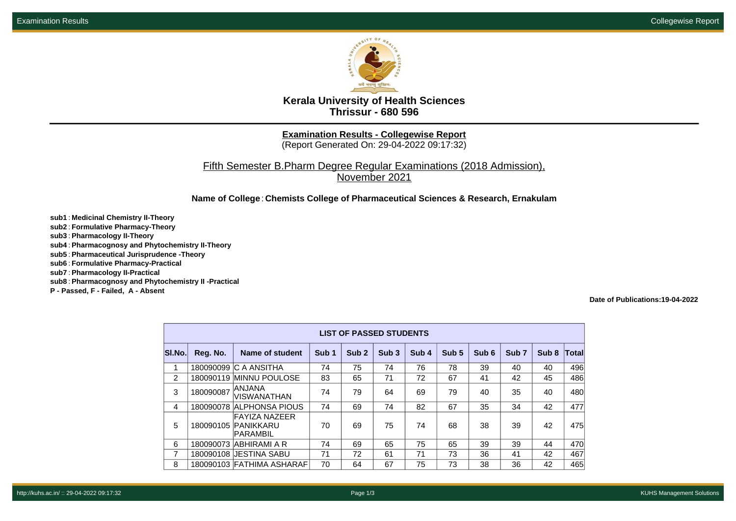

**Kerala University of Health Sciences Thrissur - 680 596**

**Examination Results - Collegewise Report**

(Report Generated On: 29-04-2022 09:17:32)

Fifth Semester B.Pharm Degree Regular Examinations (2018 Admission), November 2021

**Name of College**: **Chemists College of Pharmaceutical Sciences & Research, Ernakulam**

**sub1** : **Medicinal Chemistry II-Theory sub2** : **Formulative Pharmacy-Theory sub3** : **Pharmacology II-Theory sub4** : **Pharmacognosy and Phytochemistry II-Theory sub5** : **Pharmaceutical Jurisprudence -Theory sub6** : **Formulative Pharmacy-Practical sub7** : **Pharmacology II-Practical sub8** : **Pharmacognosy and Phytochemistry II -Practical P - Passed, F - Failed, A - Absent**

**Date of Publications:19-04-2022**

|                | <b>LIST OF PASSED STUDENTS</b> |                                                         |                  |                  |                  |                  |                  |                  |                  |                  |       |  |  |
|----------------|--------------------------------|---------------------------------------------------------|------------------|------------------|------------------|------------------|------------------|------------------|------------------|------------------|-------|--|--|
| SI.No.         | Reg. No.                       | <b>Name of student</b>                                  | Sub <sub>1</sub> | Sub <sub>2</sub> | Sub <sub>3</sub> | Sub <sub>4</sub> | Sub <sub>5</sub> | Sub <sub>6</sub> | Sub <sub>7</sub> | Sub <sub>8</sub> | Total |  |  |
| 1              |                                | 180090099 C A ANSITHA                                   | 74               | 75               | 74               | 76               | 78               | 39               | 40               | 40               | 496   |  |  |
| $\overline{2}$ |                                | 180090119 MINNU POULOSE                                 | 83               | 65               | 71               | 72               | 67               | 41               | 42               | 45               | 486   |  |  |
| 3              | 180090087                      | ANJANA<br><b>VISWANATHAN</b>                            | 74               | 79               | 64               | 69               | 79               | 40               | 35               | 40               | 480   |  |  |
| 4              |                                | 180090078 ALPHONSA PIOUS                                | 74               | 69               | 74               | 82               | 67               | 35               | 34               | 42               | 477   |  |  |
| 5              |                                | <b>FAYIZA NAZEER</b><br>180090105 PANIKKARU<br>PARAMBIL | 70               | 69               | 75               | 74               | 68               | 38               | 39               | 42               | 475   |  |  |
| 6              |                                | 180090073 ABHIRAMI A R                                  | 74               | 69               | 65               | 75               | 65               | 39               | 39               | 44               | 470   |  |  |
| 7              |                                | 180090108 JESTINA SABU                                  | 71               | 72               | 61               | 71               | 73               | 36               | 41               | 42               | 467   |  |  |
| 8              |                                | 180090103 FATHIMA ASHARAF                               | 70               | 64               | 67               | 75               | 73               | 38               | 36               | 42               | 465   |  |  |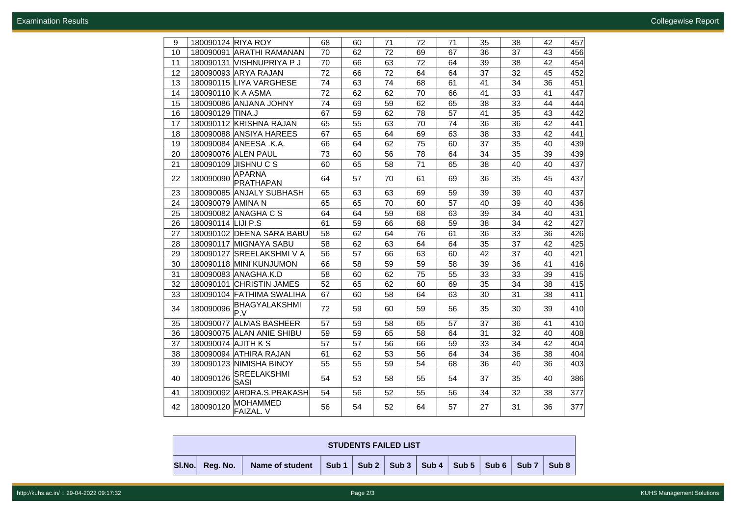| 9  | 180090124 RIYA ROY                               | 68 | 60 | 71 | 72 | 71 | 35 | 38 | 42 | 457 |
|----|--------------------------------------------------|----|----|----|----|----|----|----|----|-----|
| 10 | 180090091 ARATHI RAMANAN                         | 70 | 62 | 72 | 69 | 67 | 36 | 37 | 43 | 456 |
| 11 | 180090131 VISHNUPRIYA P J                        | 70 | 66 | 63 | 72 | 64 | 39 | 38 | 42 | 454 |
| 12 | 180090093 ARYA RAJAN                             | 72 | 66 | 72 | 64 | 64 | 37 | 32 | 45 | 452 |
| 13 | 180090115 LIYA VARGHESE                          | 74 | 63 | 74 | 68 | 61 | 41 | 34 | 36 | 451 |
| 14 | 180090110 K A ASMA                               | 72 | 62 | 62 | 70 | 66 | 41 | 33 | 41 | 447 |
| 15 | 180090086 ANJANA JOHNY                           | 74 | 69 | 59 | 62 | 65 | 38 | 33 | 44 | 444 |
| 16 | 180090129 TINA.J                                 | 67 | 59 | 62 | 78 | 57 | 41 | 35 | 43 | 442 |
| 17 | 180090112 KRISHNA RAJAN                          | 65 | 55 | 63 | 70 | 74 | 36 | 36 | 42 | 441 |
| 18 | 180090088 ANSIYA HAREES                          | 67 | 65 | 64 | 69 | 63 | 38 | 33 | 42 | 441 |
| 19 | 180090084 ANEESA .K.A.                           | 66 | 64 | 62 | 75 | 60 | 37 | 35 | 40 | 439 |
| 20 | 180090076 ALEN PAUL                              | 73 | 60 | 56 | 78 | 64 | 34 | 35 | 39 | 439 |
| 21 | 180090109 JISHNU C S                             | 60 | 65 | 58 | 71 | 65 | 38 | 40 | 40 | 437 |
| 22 | <b>APARNA</b><br>180090090<br>PRATHAPAN          | 64 | 57 | 70 | 61 | 69 | 36 | 35 | 45 | 437 |
| 23 | 180090085 ANJALY SUBHASH                         | 65 | 63 | 63 | 69 | 59 | 39 | 39 | 40 | 437 |
| 24 | 180090079 AMINA N                                | 65 | 65 | 70 | 60 | 57 | 40 | 39 | 40 | 436 |
| 25 | 180090082 ANAGHA C S                             | 64 | 64 | 59 | 68 | 63 | 39 | 34 | 40 | 431 |
| 26 | 180090114 LIJI P.S                               | 61 | 59 | 66 | 68 | 59 | 38 | 34 | 42 | 427 |
| 27 | 180090102 DEENA SARA BABU                        | 58 | 62 | 64 | 76 | 61 | 36 | 33 | 36 | 426 |
| 28 | 180090117 MIGNAYA SABU                           | 58 | 62 | 63 | 64 | 64 | 35 | 37 | 42 | 425 |
| 29 | 180090127 SREELAKSHMI V A                        | 56 | 57 | 66 | 63 | 60 | 42 | 37 | 40 | 421 |
| 30 | 180090118 MINI KUNJUMON                          | 66 | 58 | 59 | 59 | 58 | 39 | 36 | 41 | 416 |
| 31 | 180090083 ANAGHA.K.D                             | 58 | 60 | 62 | 75 | 55 | 33 | 33 | 39 | 415 |
| 32 | 180090101 CHRISTIN JAMES                         | 52 | 65 | 62 | 60 | 69 | 35 | 34 | 38 | 415 |
| 33 | 180090104 FATHIMA SWALIHA                        | 67 | 60 | 58 | 64 | 63 | 30 | 31 | 38 | 411 |
| 34 | BHAGYALAKSHMI<br>180090096<br>P.V                | 72 | 59 | 60 | 59 | 56 | 35 | 30 | 39 | 410 |
| 35 | 180090077 ALMAS BASHEER                          | 57 | 59 | 58 | 65 | 57 | 37 | 36 | 41 | 410 |
| 36 | 180090075 ALAN ANIE SHIBU                        | 59 | 59 | 65 | 58 | 64 | 31 | 32 | 40 | 408 |
| 37 | 180090074 AJITH K S                              | 57 | 57 | 56 | 66 | 59 | 33 | 34 | 42 | 404 |
| 38 | 180090094 ATHIRA RAJAN                           | 61 | 62 | 53 | 56 | 64 | 34 | 36 | 38 | 404 |
| 39 | 180090123 NIMISHA BINOY                          | 55 | 55 | 59 | 54 | 68 | 36 | 40 | 36 | 403 |
| 40 | <b>SREELAKSHMI</b><br>180090126<br>SASI          | 54 | 53 | 58 | 55 | 54 | 37 | 35 | 40 | 386 |
| 41 | 180090092 ARDRA.S.PRAKASH                        | 54 | 56 | 52 | 55 | 56 | 34 | 32 | 38 | 377 |
| 42 | <b>MOHAMMED</b><br>180090120<br><b>FAIZAL. V</b> | 56 | 54 | 52 | 64 | 57 | 27 | 31 | 36 | 377 |

| <b>STUDENTS FAILED LIST</b> |          |                       |  |  |  |  |  |                                               |  |       |  |
|-----------------------------|----------|-----------------------|--|--|--|--|--|-----------------------------------------------|--|-------|--|
| SI.No.                      | Rea. No. | Name of student Sub 1 |  |  |  |  |  | Sub 2   Sub 3   Sub 4   Sub 5   Sub 6   Sub 7 |  | Sub 8 |  |